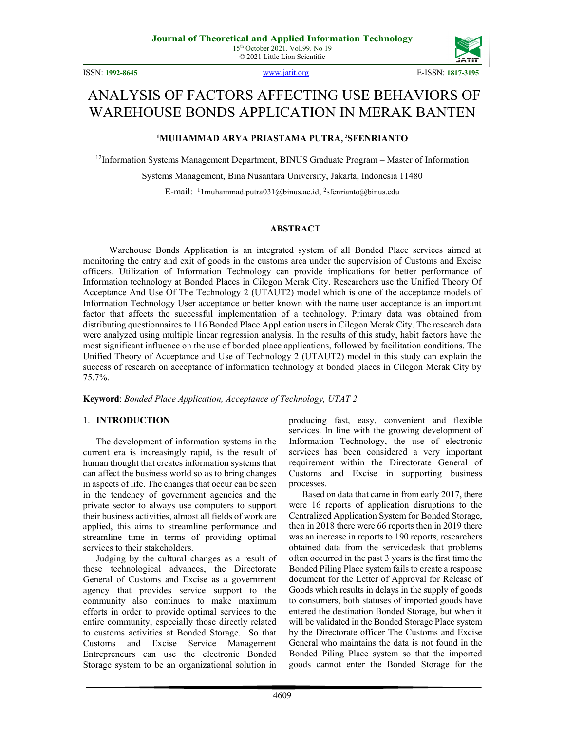ISSN: **1992-8645** [www.jatit.org](http://www.jatit.org/) E-ISSN: **1817-3195**



# ANALYSIS OF FACTORS AFFECTING USE BEHAVIORS OF WAREHOUSE BONDS APPLICATION IN MERAK BANTEN

# **1 MUHAMMAD ARYA PRIASTAMA PUTRA, <sup>2</sup> SFENRIANTO**

 $12$ Information Systems Management Department, BINUS Graduate Program – Master of Information

Systems Management, Bina Nusantara University, Jakarta, Indonesia 11480

E-mail: <sup>1</sup>1 muhammad.putra031@binus.ac.id, <sup>2</sup>sfenrianto@binus.edu

### **ABSTRACT**

Warehouse Bonds Application is an integrated system of all Bonded Place services aimed at monitoring the entry and exit of goods in the customs area under the supervision of Customs and Excise officers. Utilization of Information Technology can provide implications for better performance of Information technology at Bonded Places in Cilegon Merak City. Researchers use the Unified Theory Of Acceptance And Use Of The Technology 2 (UTAUT2) model which is one of the acceptance models of Information Technology User acceptance or better known with the name user acceptance is an important factor that affects the successful implementation of a technology. Primary data was obtained from distributing questionnaires to 116 Bonded Place Application users in Cilegon Merak City. The research data were analyzed using multiple linear regression analysis. In the results of this study, habit factors have the most significant influence on the use of bonded place applications, followed by facilitation conditions. The Unified Theory of Acceptance and Use of Technology 2 (UTAUT2) model in this study can explain the success of research on acceptance of information technology at bonded places in Cilegon Merak City by 75.7%.

**Keyword**: *Bonded Place Application, Acceptance of Technology, UTAT 2*

### 1. **INTRODUCTION**

The development of information systems in the current era is increasingly rapid, is the result of human thought that creates information systems that can affect the business world so as to bring changes in aspects of life. The changes that occur can be seen in the tendency of government agencies and the private sector to always use computers to support their business activities, almost all fields of work are applied, this aims to streamline performance and streamline time in terms of providing optimal services to their stakeholders.

Judging by the cultural changes as a result of these technological advances, the Directorate General of Customs and Excise as a government agency that provides service support to the community also continues to make maximum efforts in order to provide optimal services to the entire community, especially those directly related to customs activities at Bonded Storage. So that Customs and Excise Service Management Entrepreneurs can use the electronic Bonded Storage system to be an organizational solution in

producing fast, easy, convenient and flexible services. In line with the growing development of Information Technology, the use of electronic services has been considered a very important requirement within the Directorate General of Customs and Excise in supporting business processes.

Based on data that came in from early 2017, there were 16 reports of application disruptions to the Centralized Application System for Bonded Storage, then in 2018 there were 66 reports then in 2019 there was an increase in reports to 190 reports, researchers obtained data from the servicedesk that problems often occurred in the past 3 years is the first time the Bonded Piling Place system fails to create a response document for the Letter of Approval for Release of Goods which results in delays in the supply of goods to consumers, both statuses of imported goods have entered the destination Bonded Storage, but when it will be validated in the Bonded Storage Place system by the Directorate officer The Customs and Excise General who maintains the data is not found in the Bonded Piling Place system so that the imported goods cannot enter the Bonded Storage for the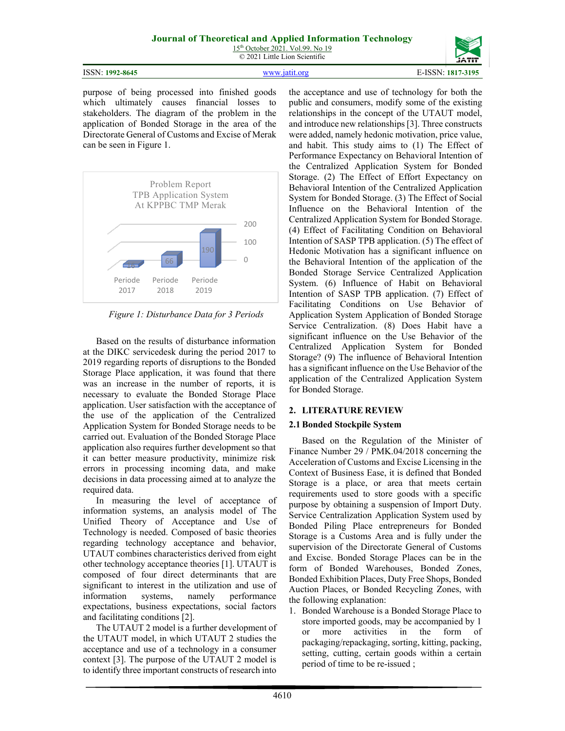15<sup>th</sup> October 2021. Vol.99. No 19 © 2021 Little Lion Scientific

| ISSN: 1992-8645 | www jatif org | E-ISSN: 1817-3195 |
|-----------------|---------------|-------------------|

purpose of being processed into finished goods which ultimately causes financial losses to stakeholders. The diagram of the problem in the application of Bonded Storage in the area of the Directorate General of Customs and Excise of Merak can be seen in Figure 1.



*Figure 1: Disturbance Data for 3 Periods*

Based on the results of disturbance information at the DIKC servicedesk during the period 2017 to 2019 regarding reports of disruptions to the Bonded Storage Place application, it was found that there was an increase in the number of reports, it is necessary to evaluate the Bonded Storage Place application. User satisfaction with the acceptance of the use of the application of the Centralized Application System for Bonded Storage needs to be carried out. Evaluation of the Bonded Storage Place application also requires further development so that it can better measure productivity, minimize risk errors in processing incoming data, and make decisions in data processing aimed at to analyze the required data.

In measuring the level of acceptance of information systems, an analysis model of The Unified Theory of Acceptance and Use of Technology is needed. Composed of basic theories regarding technology acceptance and behavior, UTAUT combines characteristics derived from eight other technology acceptance theories [1]. UTAUT is composed of four direct determinants that are significant to interest in the utilization and use of information systems, namely performance expectations, business expectations, social factors and facilitating conditions [2].

The UTAUT 2 model is a further development of the UTAUT model, in which UTAUT 2 studies the acceptance and use of a technology in a consumer context [3]. The purpose of the UTAUT 2 model is to identify three important constructs of research into

the acceptance and use of technology for both the public and consumers, modify some of the existing relationships in the concept of the UTAUT model, and introduce new relationships [3]. Three constructs were added, namely hedonic motivation, price value, and habit. This study aims to (1) The Effect of Performance Expectancy on Behavioral Intention of the Centralized Application System for Bonded Storage. (2) The Effect of Effort Expectancy on Behavioral Intention of the Centralized Application System for Bonded Storage. (3) The Effect of Social Influence on the Behavioral Intention of the Centralized Application System for Bonded Storage. (4) Effect of Facilitating Condition on Behavioral Intention of SASP TPB application. (5) The effect of Hedonic Motivation has a significant influence on the Behavioral Intention of the application of the Bonded Storage Service Centralized Application System. (6) Influence of Habit on Behavioral Intention of SASP TPB application. (7) Effect of Facilitating Conditions on Use Behavior of Application System Application of Bonded Storage Service Centralization. (8) Does Habit have a significant influence on the Use Behavior of the Centralized Application System for Bonded Storage? (9) The influence of Behavioral Intention has a significant influence on the Use Behavior of the application of the Centralized Application System for Bonded Storage.

# **2. LITERATURE REVIEW**

# **2.1 Bonded Stockpile System**

Based on the Regulation of the Minister of Finance Number 29 / PMK.04/2018 concerning the Acceleration of Customs and Excise Licensing in the Context of Business Ease, it is defined that Bonded Storage is a place, or area that meets certain requirements used to store goods with a specific purpose by obtaining a suspension of Import Duty. Service Centralization Application System used by Bonded Piling Place entrepreneurs for Bonded Storage is a Customs Area and is fully under the supervision of the Directorate General of Customs and Excise. Bonded Storage Places can be in the form of Bonded Warehouses, Bonded Zones, Bonded Exhibition Places, Duty Free Shops, Bonded Auction Places, or Bonded Recycling Zones, with the following explanation:

1. Bonded Warehouse is a Bonded Storage Place to store imported goods, may be accompanied by 1 or more activities in the form of packaging/repackaging, sorting, kitting, packing, setting, cutting, certain goods within a certain period of time to be re-issued ;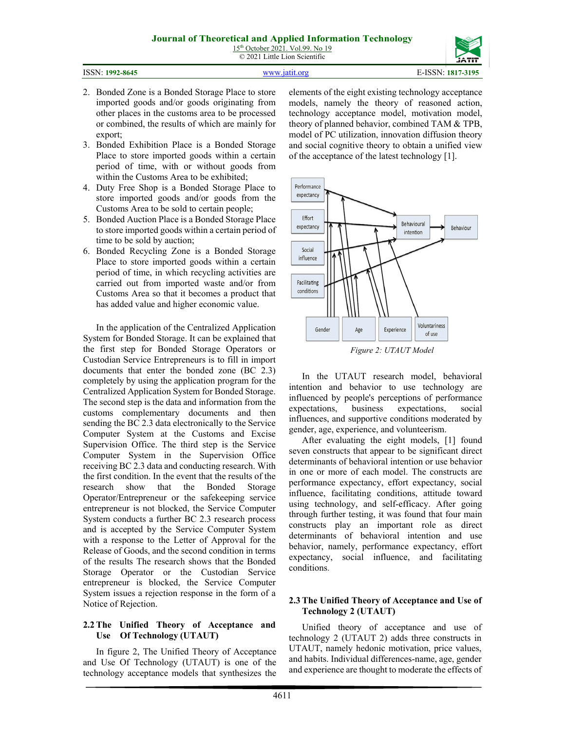4611

elements of the eight existing technology acceptance models, namely the theory of reasoned action, technology acceptance model, motivation model, theory of planned behavior, combined TAM & TPB, model of PC utilization, innovation diffusion theory and social cognitive theory to obtain a unified view of the acceptance of the latest technology [1].



In the UTAUT research model, behavioral intention and behavior to use technology are influenced by people's perceptions of performance expectations, business expectations, social influences, and supportive conditions moderated by gender, age, experience, and volunteerism.

After evaluating the eight models, [1] found seven constructs that appear to be significant direct determinants of behavioral intention or use behavior in one or more of each model. The constructs are performance expectancy, effort expectancy, social influence, facilitating conditions, attitude toward using technology, and self-efficacy. After going through further testing, it was found that four main constructs play an important role as direct determinants of behavioral intention and use behavior, namely, performance expectancy, effort expectancy, social influence, and facilitating conditions.

#### **2.3 The Unified Theory of Acceptance and Use of Technology 2 (UTAUT)**

Unified theory of acceptance and use of technology 2 (UTAUT 2) adds three constructs in UTAUT, namely hedonic motivation, price values, and habits. Individual differences-name, age, gender and experience are thought to moderate the effects of

2. Bonded Zone is a Bonded Storage Place to store imported goods and/or goods originating from other places in the customs area to be processed or combined, the results of which are mainly for export;

- 3. Bonded Exhibition Place is a Bonded Storage Place to store imported goods within a certain period of time, with or without goods from within the Customs Area to be exhibited;
- 4. Duty Free Shop is a Bonded Storage Place to store imported goods and/or goods from the Customs Area to be sold to certain people;
- 5. Bonded Auction Place is a Bonded Storage Place to store imported goods within a certain period of time to be sold by auction;
- 6. Bonded Recycling Zone is a Bonded Storage Place to store imported goods within a certain period of time, in which recycling activities are carried out from imported waste and/or from Customs Area so that it becomes a product that has added value and higher economic value.

In the application of the Centralized Application System for Bonded Storage. It can be explained that the first step for Bonded Storage Operators or Custodian Service Entrepreneurs is to fill in import documents that enter the bonded zone (BC 2.3) completely by using the application program for the Centralized Application System for Bonded Storage. The second step is the data and information from the customs complementary documents and then sending the BC 2.3 data electronically to the Service Computer System at the Customs and Excise Supervision Office. The third step is the Service Computer System in the Supervision Office receiving BC 2.3 data and conducting research. With the first condition. In the event that the results of the research show that the Bonded Storage Operator/Entrepreneur or the safekeeping service entrepreneur is not blocked, the Service Computer System conducts a further BC 2.3 research process and is accepted by the Service Computer System with a response to the Letter of Approval for the Release of Goods, and the second condition in terms of the results The research shows that the Bonded Storage Operator or the Custodian Service entrepreneur is blocked, the Service Computer System issues a rejection response in the form of a Notice of Rejection.

# **2.2 The Unified Theory of Acceptance and Use Of Technology (UTAUT)**

In figure 2, The Unified Theory of Acceptance and Use Of Technology (UTAUT) is one of the technology acceptance models that synthesizes the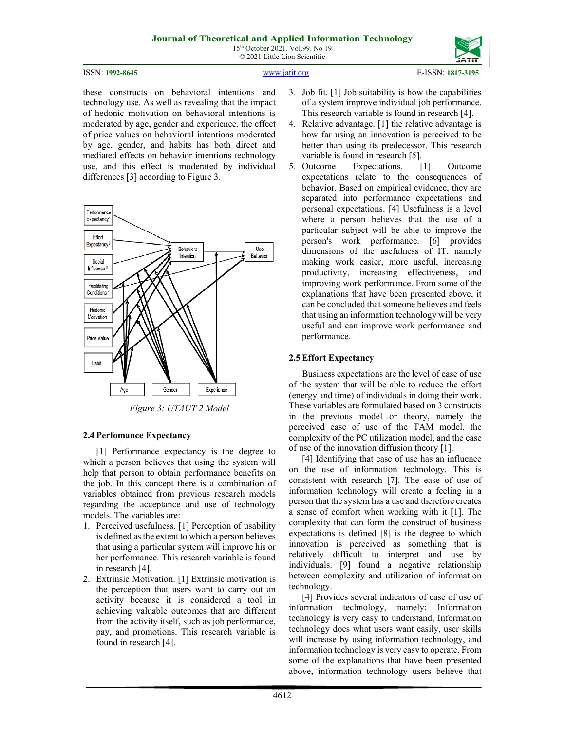15<sup>th</sup> October 2021. Vol.99. No 19 © 2021 Little Lion Scientific

| ISSN: 1992-8645 | www.jatit.org | E-ISSN: 1817-3195 |
|-----------------|---------------|-------------------|
|                 |               |                   |

these constructs on behavioral intentions and technology use. As well as revealing that the impact of hedonic motivation on behavioral intentions is moderated by age, gender and experience, the effect of price values on behavioral intentions moderated by age, gender, and habits has both direct and mediated effects on behavior intentions technology use, and this effect is moderated by individual differences [3] according to Figure 3.



*Figure 3: UTAUT 2 Model*

# **2.4 Perfomance Expectancy**

[1] Performance expectancy is the degree to which a person believes that using the system will help that person to obtain performance benefits on the job. In this concept there is a combination of variables obtained from previous research models regarding the acceptance and use of technology models. The variables are:

- 1. Perceived usefulness. [1] Perception of usability is defined as the extent to which a person believes that using a particular system will improve his or her performance. This research variable is found in research [4].
- 2. Extrinsic Motivation. [1] Extrinsic motivation is the perception that users want to carry out an activity because it is considered a tool in achieving valuable outcomes that are different from the activity itself, such as job performance, pay, and promotions. This research variable is found in research [4].
- 3. Job fit. [1] Job suitability is how the capabilities of a system improve individual job performance. This research variable is found in research [4].
- 4. Relative advantage. [1] the relative advantage is how far using an innovation is perceived to be better than using its predecessor. This research variable is found in research [5].
- 5. Outcome Expectations. [1] Outcome expectations relate to the consequences of behavior. Based on empirical evidence, they are separated into performance expectations and personal expectations. [4] Usefulness is a level where a person believes that the use of a particular subject will be able to improve the person's work performance. [6] provides dimensions of the usefulness of IT, namely making work easier, more useful, increasing productivity, increasing effectiveness, and improving work performance. From some of the explanations that have been presented above, it can be concluded that someone believes and feels that using an information technology will be very useful and can improve work performance and performance.

# **2.5 Effort Expectancy**

Business expectations are the level of ease of use of the system that will be able to reduce the effort (energy and time) of individuals in doing their work. These variables are formulated based on 3 constructs in the previous model or theory, namely the perceived ease of use of the TAM model, the complexity of the PC utilization model, and the ease of use of the innovation diffusion theory [1].

[4] Identifying that ease of use has an influence on the use of information technology. This is consistent with research [7]. The ease of use of information technology will create a feeling in a person that the system has a use and therefore creates a sense of comfort when working with it [1]. The complexity that can form the construct of business expectations is defined [8] is the degree to which innovation is perceived as something that is relatively difficult to interpret and use by individuals. [9] found a negative relationship between complexity and utilization of information technology.

[4] Provides several indicators of ease of use of information technology, namely: Information technology is very easy to understand, Information technology does what users want easily, user skills will increase by using information technology, and information technology is very easy to operate. From some of the explanations that have been presented above, information technology users believe that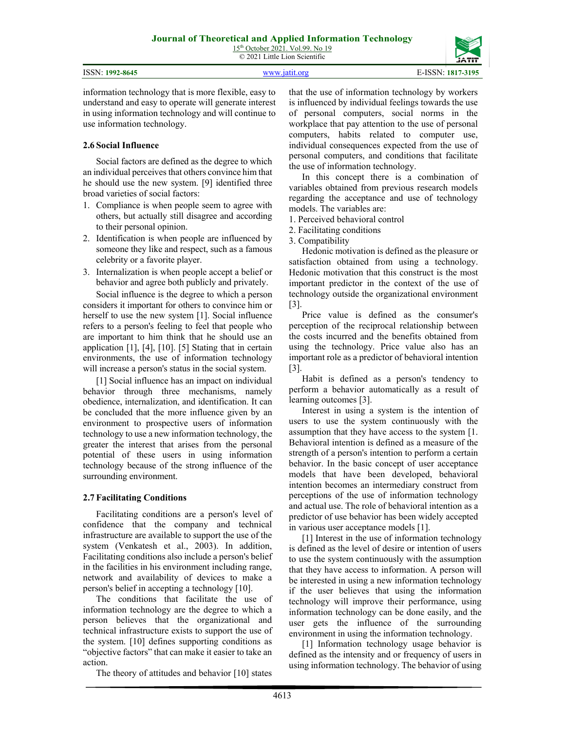|                 |               | ----              |
|-----------------|---------------|-------------------|
| ISSN: 1992-8645 | www.iatit.org | E-ISSN: 1817-3195 |

information technology that is more flexible, easy to understand and easy to operate will generate interest in using information technology and will continue to use information technology.

# **2.6 Social Influence**

Social factors are defined as the degree to which an individual perceives that others convince him that he should use the new system. [9] identified three broad varieties of social factors:

- 1. Compliance is when people seem to agree with others, but actually still disagree and according to their personal opinion.
- 2. Identification is when people are influenced by someone they like and respect, such as a famous celebrity or a favorite player.
- 3. Internalization is when people accept a belief or behavior and agree both publicly and privately.

Social influence is the degree to which a person considers it important for others to convince him or herself to use the new system [1]. Social influence refers to a person's feeling to feel that people who are important to him think that he should use an application [1], [4], [10]. [5] Stating that in certain environments, the use of information technology will increase a person's status in the social system.

[1] Social influence has an impact on individual behavior through three mechanisms, namely obedience, internalization, and identification. It can be concluded that the more influence given by an environment to prospective users of information technology to use a new information technology, the greater the interest that arises from the personal potential of these users in using information technology because of the strong influence of the surrounding environment.

# **2.7 Facilitating Conditions**

Facilitating conditions are a person's level of confidence that the company and technical infrastructure are available to support the use of the system (Venkatesh et al., 2003). In addition, Facilitating conditions also include a person's belief in the facilities in his environment including range, network and availability of devices to make a person's belief in accepting a technology [10].

The conditions that facilitate the use of information technology are the degree to which a person believes that the organizational and technical infrastructure exists to support the use of the system. [10] defines supporting conditions as "objective factors" that can make it easier to take an action.

The theory of attitudes and behavior [10] states

that the use of information technology by workers is influenced by individual feelings towards the use of personal computers, social norms in the workplace that pay attention to the use of personal computers, habits related to computer use, individual consequences expected from the use of personal computers, and conditions that facilitate the use of information technology.

In this concept there is a combination of variables obtained from previous research models regarding the acceptance and use of technology models. The variables are:

- 1. Perceived behavioral control
- 2. Facilitating conditions
- 3. Compatibility

Hedonic motivation is defined as the pleasure or satisfaction obtained from using a technology. Hedonic motivation that this construct is the most important predictor in the context of the use of technology outside the organizational environment [3].

Price value is defined as the consumer's perception of the reciprocal relationship between the costs incurred and the benefits obtained from using the technology. Price value also has an important role as a predictor of behavioral intention [3].

Habit is defined as a person's tendency to perform a behavior automatically as a result of learning outcomes [3].

Interest in using a system is the intention of users to use the system continuously with the assumption that they have access to the system [1. Behavioral intention is defined as a measure of the strength of a person's intention to perform a certain behavior. In the basic concept of user acceptance models that have been developed, behavioral intention becomes an intermediary construct from perceptions of the use of information technology and actual use. The role of behavioral intention as a predictor of use behavior has been widely accepted in various user acceptance models [1].

[1] Interest in the use of information technology is defined as the level of desire or intention of users to use the system continuously with the assumption that they have access to information. A person will be interested in using a new information technology if the user believes that using the information technology will improve their performance, using information technology can be done easily, and the user gets the influence of the surrounding environment in using the information technology.

[1] Information technology usage behavior is defined as the intensity and or frequency of users in using information technology. The behavior of using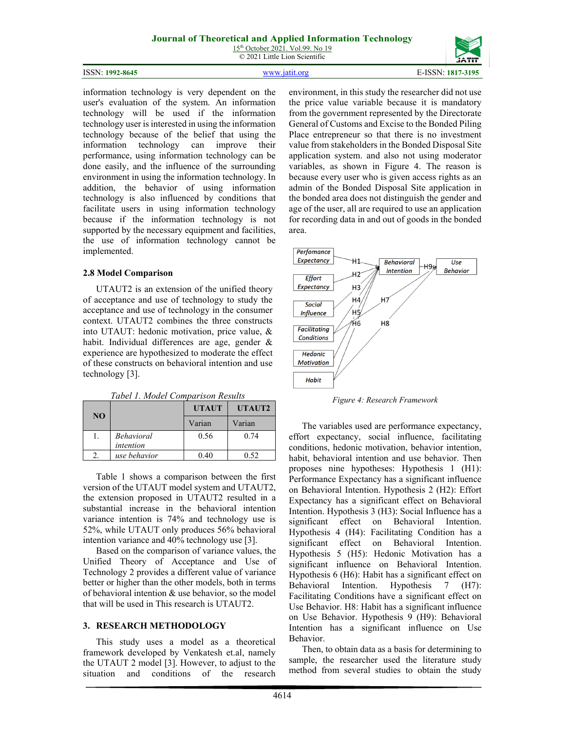15<sup>th</sup> October 2021. Vol.99. No 19 © 2021 Little Lion Scientific

#### ISSN: **1992-8645** [www.jatit.org](http://www.jatit.org/) E-ISSN: **1817-3195**

information technology is very dependent on the user's evaluation of the system. An information technology will be used if the information technology user is interested in using the information technology because of the belief that using the information technology can improve their performance, using information technology can be done easily, and the influence of the surrounding environment in using the information technology. In addition, the behavior of using information technology is also influenced by conditions that facilitate users in using information technology because if the information technology is not supported by the necessary equipment and facilities, the use of information technology cannot be implemented.

#### **2.8 Model Comparison**

UTAUT2 is an extension of the unified theory of acceptance and use of technology to study the acceptance and use of technology in the consumer context. UTAUT2 combines the three constructs into UTAUT: hedonic motivation, price value, & habit. Individual differences are age, gender & experience are hypothesized to moderate the effect of these constructs on behavioral intention and use technology [3].

*Tabel 1. Model Comparison Results*

| <b>NO</b> |                                | <b>UTAUT</b> | UTAUT2 |
|-----------|--------------------------------|--------------|--------|
|           |                                | Varian       | Varian |
|           | <b>Behavioral</b><br>intention | 0.56         | 0.74   |
|           | use behavior                   |              | በ ናን   |

Table 1 shows a comparison between the first version of the UTAUT model system and UTAUT2, the extension proposed in UTAUT2 resulted in a substantial increase in the behavioral intention variance intention is 74% and technology use is 52%, while UTAUT only produces 56% behavioral intention variance and 40% technology use [3].

Based on the comparison of variance values, the Unified Theory of Acceptance and Use of Technology 2 provides a different value of variance better or higher than the other models, both in terms of behavioral intention & use behavior, so the model that will be used in This research is UTAUT2.

### **3. RESEARCH METHODOLOGY**

This study uses a model as a theoretical framework developed by Venkatesh et.al, namely the UTAUT 2 model [3]. However, to adjust to the situation and conditions of the research

environment, in this study the researcher did not use the price value variable because it is mandatory from the government represented by the Directorate General of Customs and Excise to the Bonded Piling Place entrepreneur so that there is no investment value from stakeholders in the Bonded Disposal Site application system. and also not using moderator variables, as shown in Figure 4. The reason is because every user who is given access rights as an admin of the Bonded Disposal Site application in the bonded area does not distinguish the gender and age of the user, all are required to use an application for recording data in and out of goods in the bonded area.



*Figure 4: Research Framework*

The variables used are performance expectancy, effort expectancy, social influence, facilitating conditions, hedonic motivation, behavior intention, habit, behavioral intention and use behavior. Then proposes nine hypotheses: Hypothesis 1 (H1): Performance Expectancy has a significant influence on Behavioral Intention. Hypothesis 2 (H2): Effort Expectancy has a significant effect on Behavioral Intention. Hypothesis 3 (H3): Social Influence has a significant effect on Behavioral Intention. Hypothesis 4 (H4): Facilitating Condition has a significant effect on Behavioral Intention. Hypothesis 5 (H5): Hedonic Motivation has a significant influence on Behavioral Intention. Hypothesis 6 (H6): Habit has a significant effect on Behavioral Intention. Hypothesis 7 (H7): Facilitating Conditions have a significant effect on Use Behavior. H8: Habit has a significant influence on Use Behavior. Hypothesis 9 (H9): Behavioral Intention has a significant influence on Use Behavior.

Then, to obtain data as a basis for determining to sample, the researcher used the literature study method from several studies to obtain the study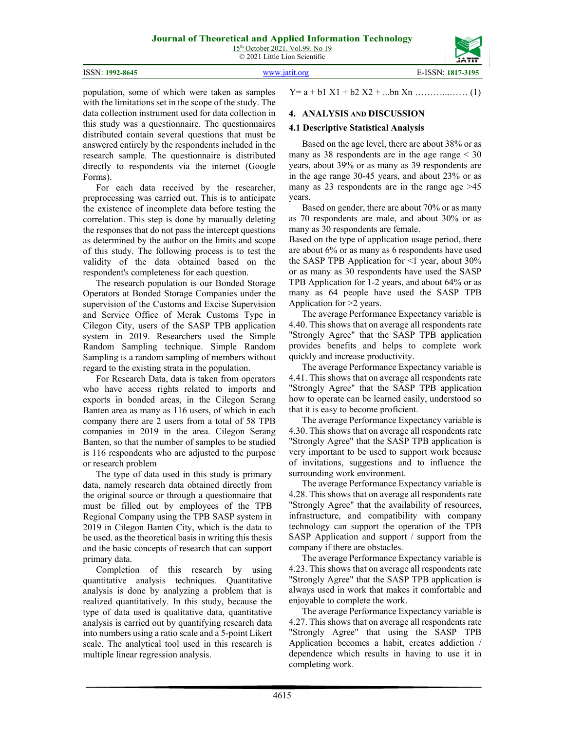15<sup>th</sup> October 2021. Vol.99. No 19 © 2021 Little Lion Scientific

|                 |               | ------            |
|-----------------|---------------|-------------------|
| ISSN: 1992-8645 | www.jatit.org | E-ISSN: 1817-3195 |

population, some of which were taken as samples with the limitations set in the scope of the study. The data collection instrument used for data collection in this study was a questionnaire. The questionnaires distributed contain several questions that must be answered entirely by the respondents included in the research sample. The questionnaire is distributed directly to respondents via the internet (Google Forms).

For each data received by the researcher, preprocessing was carried out. This is to anticipate the existence of incomplete data before testing the correlation. This step is done by manually deleting the responses that do not pass the intercept questions as determined by the author on the limits and scope of this study. The following process is to test the validity of the data obtained based on the respondent's completeness for each question.

The research population is our Bonded Storage Operators at Bonded Storage Companies under the supervision of the Customs and Excise Supervision and Service Office of Merak Customs Type in Cilegon City, users of the SASP TPB application system in 2019. Researchers used the Simple Random Sampling technique. Simple Random Sampling is a random sampling of members without regard to the existing strata in the population.

For Research Data, data is taken from operators who have access rights related to imports and exports in bonded areas, in the Cilegon Serang Banten area as many as 116 users, of which in each company there are 2 users from a total of 58 TPB companies in 2019 in the area. Cilegon Serang Banten, so that the number of samples to be studied is 116 respondents who are adjusted to the purpose or research problem

The type of data used in this study is primary data, namely research data obtained directly from the original source or through a questionnaire that must be filled out by employees of the TPB Regional Company using the TPB SASP system in 2019 in Cilegon Banten City, which is the data to be used. as the theoretical basis in writing this thesis and the basic concepts of research that can support primary data.

Completion of this research by using quantitative analysis techniques. Quantitative analysis is done by analyzing a problem that is realized quantitatively. In this study, because the type of data used is qualitative data, quantitative analysis is carried out by quantifying research data into numbers using a ratio scale and a 5-point Likert scale. The analytical tool used in this research is multiple linear regression analysis.

Y= a + b1 X1 + b2 X2 + ...bn Xn ………...…… (1)

# **4. ANALYSIS AND DISCUSSION**

#### **4.1 Descriptive Statistical Analysis**

Based on the age level, there are about 38% or as many as  $38$  respondents are in the age range  $\leq 30$ years, about 39% or as many as 39 respondents are in the age range 30-45 years, and about 23% or as many as 23 respondents are in the range age >45 years.

Based on gender, there are about 70% or as many as 70 respondents are male, and about 30% or as many as 30 respondents are female.

Based on the type of application usage period, there are about 6% or as many as 6 respondents have used the SASP TPB Application for  $\leq 1$  year, about 30% or as many as 30 respondents have used the SASP TPB Application for 1-2 years, and about 64% or as many as 64 people have used the SASP TPB Application for >2 years.

The average Performance Expectancy variable is 4.40. This shows that on average all respondents rate "Strongly Agree" that the SASP TPB application provides benefits and helps to complete work quickly and increase productivity.

The average Performance Expectancy variable is 4.41. This shows that on average all respondents rate "Strongly Agree" that the SASP TPB application how to operate can be learned easily, understood so that it is easy to become proficient.

The average Performance Expectancy variable is 4.30. This shows that on average all respondents rate "Strongly Agree" that the SASP TPB application is very important to be used to support work because of invitations, suggestions and to influence the surrounding work environment.

The average Performance Expectancy variable is 4.28. This shows that on average all respondents rate "Strongly Agree" that the availability of resources, infrastructure, and compatibility with company technology can support the operation of the TPB SASP Application and support / support from the company if there are obstacles.

The average Performance Expectancy variable is 4.23. This shows that on average all respondents rate "Strongly Agree" that the SASP TPB application is always used in work that makes it comfortable and enjoyable to complete the work.

The average Performance Expectancy variable is 4.27. This shows that on average all respondents rate "Strongly Agree" that using the SASP TPB Application becomes a habit, creates addiction / dependence which results in having to use it in completing work.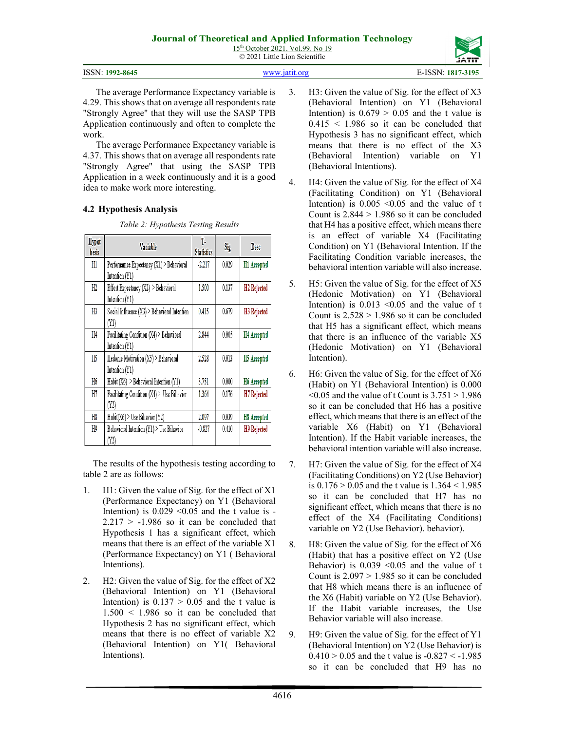15<sup>th</sup> October 2021. Vol.99. No 19 © 2021 Little Lion Scientific

| ISSN: 1992-8645 | www.jatit.org | E-ISSN: 1817-3195 |
|-----------------|---------------|-------------------|
|                 |               |                   |

The average Performance Expectancy variable is 4.29. This shows that on average all respondents rate "Strongly Agree" that they will use the SASP TPB Application continuously and often to complete the work.

The average Performance Expectancy variable is 4.37. This shows that on average all respondents rate "Strongly Agree" that using the SASP TPB Application in a week continuously and it is a good idea to make work more interesting.

# **4.2 Hypothesis Analysis**

*Table 2: Hypothesis Testing Results*

| Hypot<br>hesis | <b>Variable</b>                                            | T.<br><b>Statistics</b> | Sig   | <b>Desc</b>             |
|----------------|------------------------------------------------------------|-------------------------|-------|-------------------------|
| H1             | Perfornamce Expectancy (X1) > Behavioral<br>Intention (Y1) | $-2.217$                | 0.029 | H1 Accepted             |
| H2             | Effort Expectancy (X2) > Behavioral<br>Intention (Y1)      | 1.500                   | 0.137 | H <sub>2</sub> Rejected |
| H3             | Social Influence (X3) > Behavioral Intention<br>(Y1)       | 0.415                   | 0.679 | H <sub>3</sub> Rejected |
| H4             | Facilitating Condition (X4) > Behavioral<br>Intention (Y1) | 2.844                   | 0.005 | H4 Accepted             |
| H5             | Hedonic Motivation (X5) > Behavioral<br>Intention (Y1)     | 2.528                   | 0.013 | H5 Accepted             |
| H6             | Habit $(X6)$ > Behavioral Intention $(Y1)$                 | 3.751                   | 0.000 | H6 Accepted             |
| H7             | Facilitating Condition (X4) > Use Bihavior<br>(Y2)         | 1.364                   | 0.176 | H7 Rejected             |
| H8             | Habit(X6) > Use Bihavior (Y2)                              | 2.097                   | 0.039 | H8 Accepted             |
| H9             | Behavioral Intention (Y1) > Use Bihavior<br>(Y2)           | $-0.827$                | 0.410 | H9 Rejected             |

The results of the hypothesis testing according to table 2 are as follows:

- 1. H1: Given the value of Sig. for the effect of X1 (Performance Expectancy) on Y1 (Behavioral Intention) is  $0.029 \le 0.05$  and the t value is - $2.217 > -1.986$  so it can be concluded that Hypothesis 1 has a significant effect, which means that there is an effect of the variable X1 (Performance Expectancy) on Y1 ( Behavioral Intentions).
- 2. H2: Given the value of Sig. for the effect of X2 (Behavioral Intention) on Y1 (Behavioral Intention) is  $0.137 > 0.05$  and the t value is  $1.500 \leq 1.986$  so it can be concluded that Hypothesis 2 has no significant effect, which means that there is no effect of variable X2 (Behavioral Intention) on Y1( Behavioral Intentions).
- 3. H3: Given the value of Sig. for the effect of X3 (Behavioral Intention) on Y1 (Behavioral Intention) is  $0.679 > 0.05$  and the t value is  $0.415 \leq 1.986$  so it can be concluded that Hypothesis 3 has no significant effect, which means that there is no effect of the X3 (Behavioral Intention) variable on Y1 (Behavioral Intentions).
- 4. H4: Given the value of Sig. for the effect of X4 (Facilitating Condition) on Y1 (Behavioral Intention) is  $0.005 \le 0.05$  and the value of t Count is  $2.844 > 1.986$  so it can be concluded that H4 has a positive effect, which means there is an effect of variable X4 (Facilitating Condition) on Y1 (Behavioral Intention. If the Facilitating Condition variable increases, the behavioral intention variable will also increase.
- 5. H5: Given the value of Sig. for the effect of X5 (Hedonic Motivation) on Y1 (Behavioral Intention) is  $0.013 \leq 0.05$  and the value of t Count is  $2.528 > 1.986$  so it can be concluded that H5 has a significant effect, which means that there is an influence of the variable X5 (Hedonic Motivation) on Y1 (Behavioral Intention).
- 6. H6: Given the value of Sig. for the effect of X6 (Habit) on Y1 (Behavioral Intention) is 0.000  $\leq 0.05$  and the value of t Count is  $3.751 > 1.986$ so it can be concluded that H6 has a positive effect, which means that there is an effect of the variable X6 (Habit) on Y1 (Behavioral Intention). If the Habit variable increases, the behavioral intention variable will also increase.
- 7. H7: Given the value of Sig. for the effect of X4 (Facilitating Conditions) on Y2 (Use Behavior) is 0.176 > 0.05 and the t value is 1.364 < 1.985 so it can be concluded that H7 has no significant effect, which means that there is no effect of the X4 (Facilitating Conditions) variable on Y2 (Use Behavior). behavior).
- 8. H8: Given the value of Sig. for the effect of X6 (Habit) that has a positive effect on Y2 (Use Behavior) is  $0.039 \le 0.05$  and the value of t Count is  $2.097 > 1.985$  so it can be concluded that H8 which means there is an influence of the X6 (Habit) variable on Y2 (Use Behavior). If the Habit variable increases, the Use Behavior variable will also increase.
- 9. H9: Given the value of Sig. for the effect of Y1 (Behavioral Intention) on Y2 (Use Behavior) is  $0.410 > 0.05$  and the t value is  $-0.827 < -1.985$ so it can be concluded that H9 has no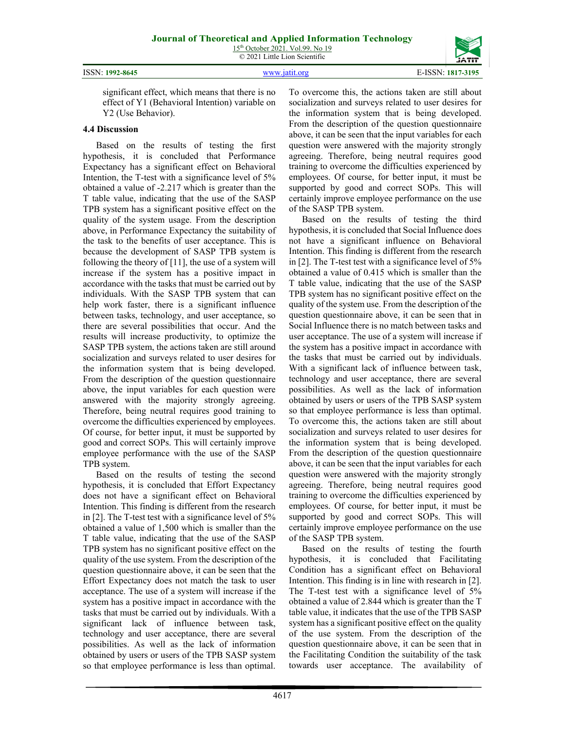|  | ISSN: 1992-8645 |
|--|-----------------|
|--|-----------------|

**4.4 Discussion**

Y2 (Use Behavior).

ISSN: **1992-8645** [www.jatit.org](http://www.jatit.org/) E-ISSN: **1817-3195**

Expectancy has a significant effect on Behavioral Intention, the T-test with a significance level of 5%

significant effect, which means that there is no effect of Y1 (Behavioral Intention) variable on

Based on the results of testing the first hypothesis, it is concluded that Performance

obtained a value of -2.217 which is greater than the T table value, indicating that the use of the SASP TPB system has a significant positive effect on the quality of the system usage. From the description above, in Performance Expectancy the suitability of the task to the benefits of user acceptance. This is because the development of SASP TPB system is following the theory of [11], the use of a system will increase if the system has a positive impact in accordance with the tasks that must be carried out by individuals. With the SASP TPB system that can help work faster, there is a significant influence between tasks, technology, and user acceptance, so there are several possibilities that occur. And the results will increase productivity, to optimize the SASP TPB system, the actions taken are still around socialization and surveys related to user desires for the information system that is being developed. From the description of the question questionnaire above, the input variables for each question were answered with the majority strongly agreeing. Therefore, being neutral requires good training to overcome the difficulties experienced by employees. Of course, for better input, it must be supported by good and correct SOPs. This will certainly improve employee performance with the use of the SASP TPB system.

Based on the results of testing the second hypothesis, it is concluded that Effort Expectancy does not have a significant effect on Behavioral Intention. This finding is different from the research in [2]. The T-test test with a significance level of 5% obtained a value of 1,500 which is smaller than the T table value, indicating that the use of the SASP TPB system has no significant positive effect on the quality of the use system. From the description of the question questionnaire above, it can be seen that the Effort Expectancy does not match the task to user acceptance. The use of a system will increase if the system has a positive impact in accordance with the tasks that must be carried out by individuals. With a significant lack of influence between task, technology and user acceptance, there are several possibilities. As well as the lack of information obtained by users or users of the TPB SASP system so that employee performance is less than optimal. To overcome this, the actions taken are still about socialization and surveys related to user desires for the information system that is being developed. From the description of the question questionnaire above, it can be seen that the input variables for each question were answered with the majority strongly agreeing. Therefore, being neutral requires good training to overcome the difficulties experienced by employees. Of course, for better input, it must be supported by good and correct SOPs. This will certainly improve employee performance on the use of the SASP TPB system.

Based on the results of testing the third hypothesis, it is concluded that Social Influence does not have a significant influence on Behavioral Intention. This finding is different from the research in [2]. The T-test test with a significance level of 5% obtained a value of 0.415 which is smaller than the T table value, indicating that the use of the SASP TPB system has no significant positive effect on the quality of the system use. From the description of the question questionnaire above, it can be seen that in Social Influence there is no match between tasks and user acceptance. The use of a system will increase if the system has a positive impact in accordance with the tasks that must be carried out by individuals. With a significant lack of influence between task, technology and user acceptance, there are several possibilities. As well as the lack of information obtained by users or users of the TPB SASP system so that employee performance is less than optimal. To overcome this, the actions taken are still about socialization and surveys related to user desires for the information system that is being developed. From the description of the question questionnaire above, it can be seen that the input variables for each question were answered with the majority strongly agreeing. Therefore, being neutral requires good training to overcome the difficulties experienced by employees. Of course, for better input, it must be supported by good and correct SOPs. This will certainly improve employee performance on the use of the SASP TPB system.

Based on the results of testing the fourth hypothesis, it is concluded that Facilitating Condition has a significant effect on Behavioral Intention. This finding is in line with research in [2]. The T-test test with a significance level of 5% obtained a value of 2.844 which is greater than the T table value, it indicates that the use of the TPB SASP system has a significant positive effect on the quality of the use system. From the description of the question questionnaire above, it can be seen that in the Facilitating Condition the suitability of the task towards user acceptance. The availability of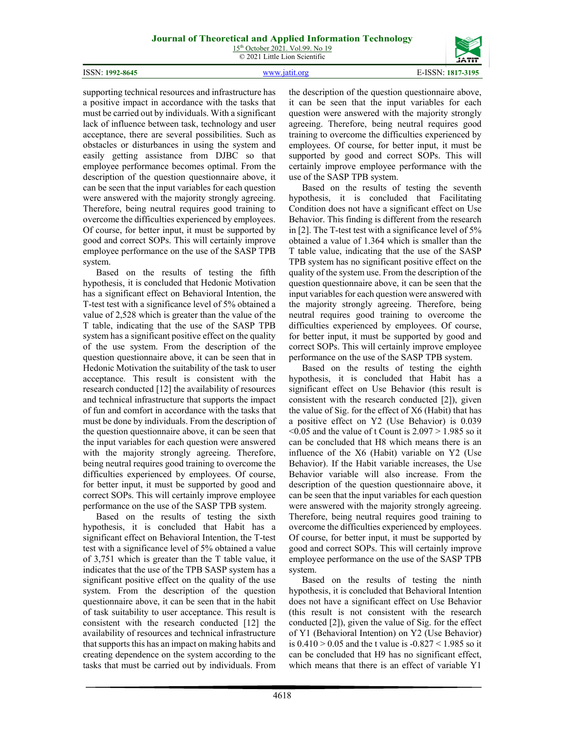15<sup>th</sup> October 2021. Vol.99. No 19 © 2021 Little Lion Scientific



supporting technical resources and infrastructure has a positive impact in accordance with the tasks that must be carried out by individuals. With a significant lack of influence between task, technology and user acceptance, there are several possibilities. Such as obstacles or disturbances in using the system and easily getting assistance from DJBC so that employee performance becomes optimal. From the description of the question questionnaire above, it can be seen that the input variables for each question were answered with the majority strongly agreeing. Therefore, being neutral requires good training to overcome the difficulties experienced by employees. Of course, for better input, it must be supported by good and correct SOPs. This will certainly improve employee performance on the use of the SASP TPB system.

Based on the results of testing the fifth hypothesis, it is concluded that Hedonic Motivation has a significant effect on Behavioral Intention, the T-test test with a significance level of 5% obtained a value of 2,528 which is greater than the value of the T table, indicating that the use of the SASP TPB system has a significant positive effect on the quality of the use system. From the description of the question questionnaire above, it can be seen that in Hedonic Motivation the suitability of the task to user acceptance. This result is consistent with the research conducted [12] the availability of resources and technical infrastructure that supports the impact of fun and comfort in accordance with the tasks that must be done by individuals. From the description of the question questionnaire above, it can be seen that the input variables for each question were answered with the majority strongly agreeing. Therefore, being neutral requires good training to overcome the difficulties experienced by employees. Of course, for better input, it must be supported by good and correct SOPs. This will certainly improve employee performance on the use of the SASP TPB system.

Based on the results of testing the sixth hypothesis, it is concluded that Habit has a significant effect on Behavioral Intention, the T-test test with a significance level of 5% obtained a value of 3,751 which is greater than the T table value, it indicates that the use of the TPB SASP system has a significant positive effect on the quality of the use system. From the description of the question questionnaire above, it can be seen that in the habit of task suitability to user acceptance. This result is consistent with the research conducted [12] the availability of resources and technical infrastructure that supports this has an impact on making habits and creating dependence on the system according to the tasks that must be carried out by individuals. From the description of the question questionnaire above, it can be seen that the input variables for each question were answered with the majority strongly agreeing. Therefore, being neutral requires good training to overcome the difficulties experienced by employees. Of course, for better input, it must be supported by good and correct SOPs. This will certainly improve employee performance with the use of the SASP TPB system.

Based on the results of testing the seventh hypothesis, it is concluded that Facilitating Condition does not have a significant effect on Use Behavior. This finding is different from the research in [2]. The T-test test with a significance level of 5% obtained a value of 1.364 which is smaller than the T table value, indicating that the use of the SASP TPB system has no significant positive effect on the quality of the system use. From the description of the question questionnaire above, it can be seen that the input variables for each question were answered with the majority strongly agreeing. Therefore, being neutral requires good training to overcome the difficulties experienced by employees. Of course, for better input, it must be supported by good and correct SOPs. This will certainly improve employee performance on the use of the SASP TPB system.

Based on the results of testing the eighth hypothesis, it is concluded that Habit has a significant effect on Use Behavior (this result is consistent with the research conducted [2]), given the value of Sig. for the effect of X6 (Habit) that has a positive effect on Y2 (Use Behavior) is 0.039  $\leq 0.05$  and the value of t Count is 2.097 > 1.985 so it can be concluded that H8 which means there is an influence of the X6 (Habit) variable on Y2 (Use Behavior). If the Habit variable increases, the Use Behavior variable will also increase. From the description of the question questionnaire above, it can be seen that the input variables for each question were answered with the majority strongly agreeing. Therefore, being neutral requires good training to overcome the difficulties experienced by employees. Of course, for better input, it must be supported by good and correct SOPs. This will certainly improve employee performance on the use of the SASP TPB system.

Based on the results of testing the ninth hypothesis, it is concluded that Behavioral Intention does not have a significant effect on Use Behavior (this result is not consistent with the research conducted [2]), given the value of Sig. for the effect of Y1 (Behavioral Intention) on Y2 (Use Behavior) is 0.410 > 0.05 and the t value is -0.827 < 1.985 so it can be concluded that H9 has no significant effect, which means that there is an effect of variable Y1